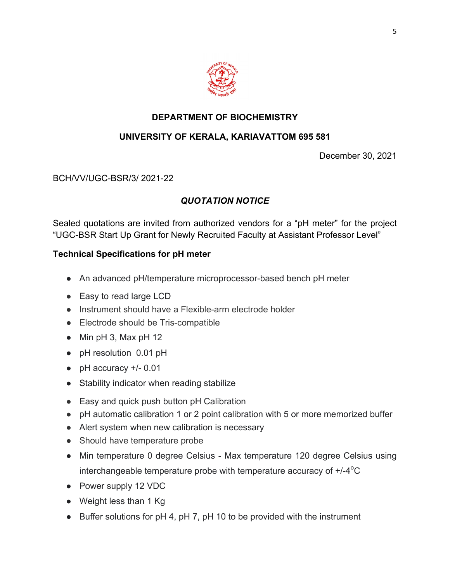

## **DEPARTMENT OF BIOCHEMISTRY**

# **UNIVERSITY OF KERALA, KARIAVATTOM 695 581**

December 30, 2021

#### BCH/VV/UGC-BSR/3/ 2021-22

## *QUOTATION NOTICE*

Sealed quotations are invited from authorized vendors for a "pH meter" for the project "UGC-BSR Start Up Grant for Newly Recruited Faculty at Assistant Professor Level"

### **Technical Specifications for pH meter**

- An advanced pH/temperature microprocessor-based bench pH meter
- Easy to read large LCD
- Instrument should have a Flexible-arm electrode holder
- Electrode should be Tris-compatible
- $\bullet$  Min pH 3, Max pH 12
- pH resolution 0.01 pH
- $\bullet$  pH accuracy  $+/- 0.01$
- Stability indicator when reading stabilize
- Easy and quick push button pH Calibration
- pH automatic calibration 1 or 2 point calibration with 5 or more memorized buffer
- Alert system when new calibration is necessary
- Should have temperature probe
- Min temperature 0 degree Celsius Max temperature 120 degree Celsius using interchangeable temperature probe with temperature accuracy of  $+/-4$ <sup>o</sup>C
- Power supply 12 VDC
- Weight less than 1 Kg
- Buffer solutions for pH 4, pH 7, pH 10 to be provided with the instrument